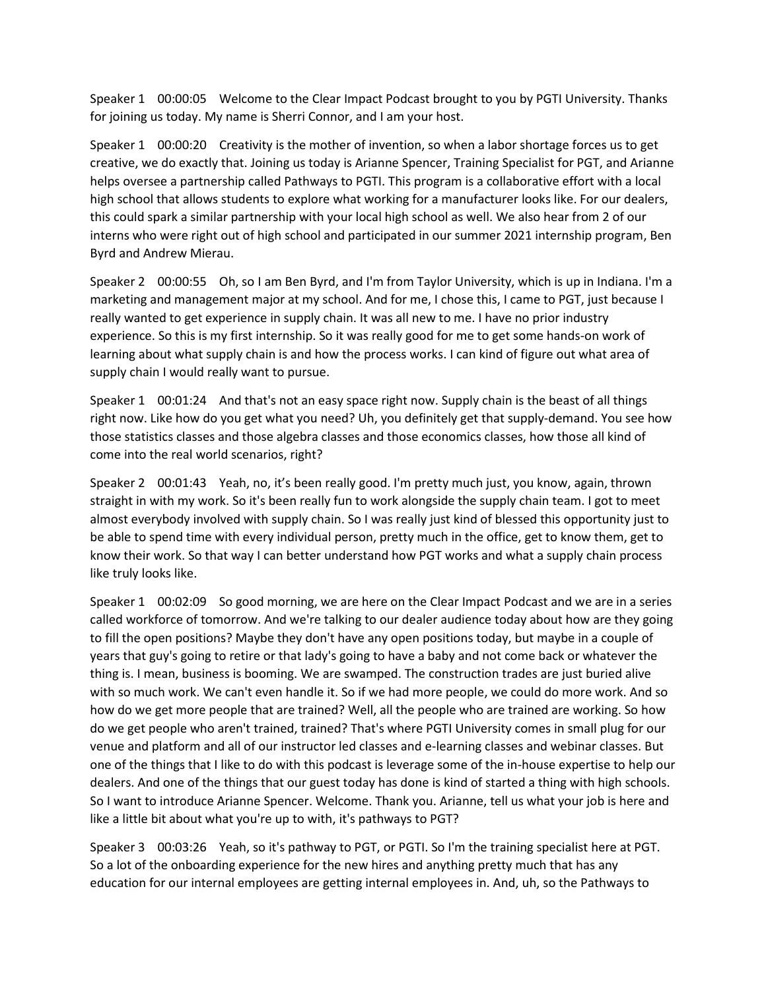Speaker 1 00:00:05 Welcome to the Clear Impact Podcast brought to you by PGTI University. Thanks for joining us today. My name is Sherri Connor, and I am your host.

Speaker 1 00:00:20 Creativity is the mother of invention, so when a labor shortage forces us to get creative, we do exactly that. Joining us today is Arianne Spencer, Training Specialist for PGT, and Arianne helps oversee a partnership called Pathways to PGTI. This program is a collaborative effort with a local high school that allows students to explore what working for a manufacturer looks like. For our dealers, this could spark a similar partnership with your local high school as well. We also hear from 2 of our interns who were right out of high school and participated in our summer 2021 internship program, Ben Byrd and Andrew Mierau.

Speaker 2 00:00:55 Oh, so I am Ben Byrd, and I'm from Taylor University, which is up in Indiana. I'm a marketing and management major at my school. And for me, I chose this, I came to PGT, just because I really wanted to get experience in supply chain. It was all new to me. I have no prior industry experience. So this is my first internship. So it was really good for me to get some hands-on work of learning about what supply chain is and how the process works. I can kind of figure out what area of supply chain I would really want to pursue.

Speaker 1 00:01:24 And that's not an easy space right now. Supply chain is the beast of all things right now. Like how do you get what you need? Uh, you definitely get that supply-demand. You see how those statistics classes and those algebra classes and those economics classes, how those all kind of come into the real world scenarios, right?

Speaker 2 00:01:43 Yeah, no, it's been really good. I'm pretty much just, you know, again, thrown straight in with my work. So it's been really fun to work alongside the supply chain team. I got to meet almost everybody involved with supply chain. So I was really just kind of blessed this opportunity just to be able to spend time with every individual person, pretty much in the office, get to know them, get to know their work. So that way I can better understand how PGT works and what a supply chain process like truly looks like.

Speaker 1 00:02:09 So good morning, we are here on the Clear Impact Podcast and we are in a series called workforce of tomorrow. And we're talking to our dealer audience today about how are they going to fill the open positions? Maybe they don't have any open positions today, but maybe in a couple of years that guy's going to retire or that lady's going to have a baby and not come back or whatever the thing is. I mean, business is booming. We are swamped. The construction trades are just buried alive with so much work. We can't even handle it. So if we had more people, we could do more work. And so how do we get more people that are trained? Well, all the people who are trained are working. So how do we get people who aren't trained, trained? That's where PGTI University comes in small plug for our venue and platform and all of our instructor led classes and e-learning classes and webinar classes. But one of the things that I like to do with this podcast is leverage some of the in-house expertise to help our dealers. And one of the things that our guest today has done is kind of started a thing with high schools. So I want to introduce Arianne Spencer. Welcome. Thank you. Arianne, tell us what your job is here and like a little bit about what you're up to with, it's pathways to PGT?

Speaker 3 00:03:26 Yeah, so it's pathway to PGT, or PGTI. So I'm the training specialist here at PGT. So a lot of the onboarding experience for the new hires and anything pretty much that has any education for our internal employees are getting internal employees in. And, uh, so the Pathways to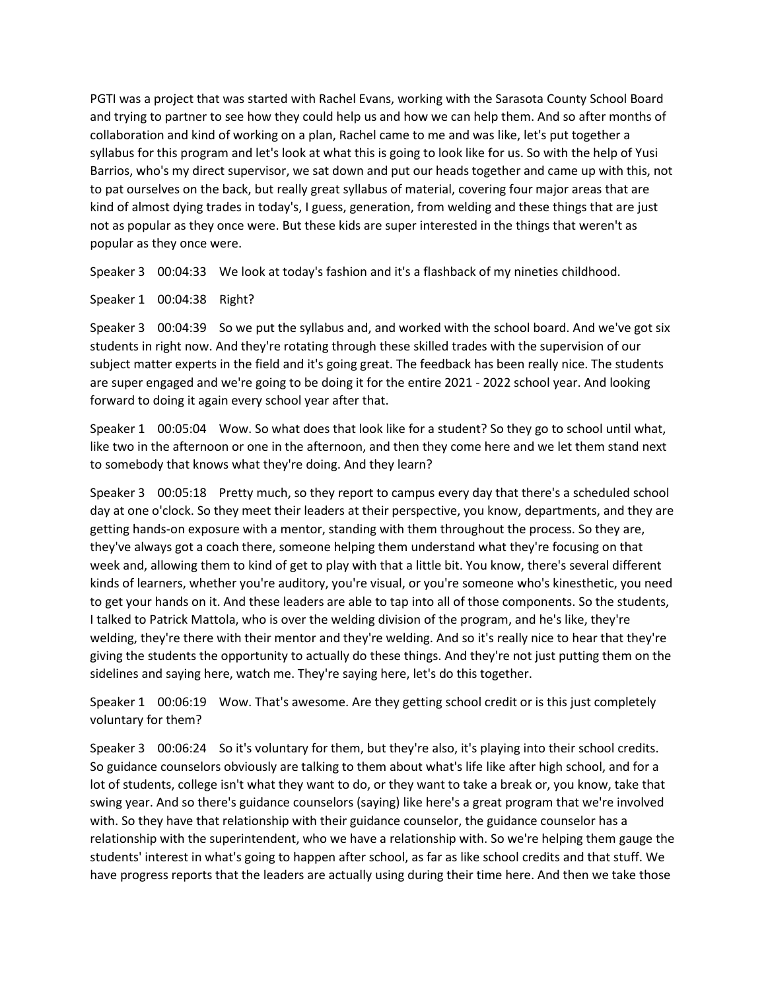PGTI was a project that was started with Rachel Evans, working with the Sarasota County School Board and trying to partner to see how they could help us and how we can help them. And so after months of collaboration and kind of working on a plan, Rachel came to me and was like, let's put together a syllabus for this program and let's look at what this is going to look like for us. So with the help of Yusi Barrios, who's my direct supervisor, we sat down and put our heads together and came up with this, not to pat ourselves on the back, but really great syllabus of material, covering four major areas that are kind of almost dying trades in today's, I guess, generation, from welding and these things that are just not as popular as they once were. But these kids are super interested in the things that weren't as popular as they once were.

Speaker 3 00:04:33 We look at today's fashion and it's a flashback of my nineties childhood.

Speaker 1 00:04:38 Right?

Speaker 3 00:04:39 So we put the syllabus and, and worked with the school board. And we've got six students in right now. And they're rotating through these skilled trades with the supervision of our subject matter experts in the field and it's going great. The feedback has been really nice. The students are super engaged and we're going to be doing it for the entire 2021 - 2022 school year. And looking forward to doing it again every school year after that.

Speaker 1 00:05:04 Wow. So what does that look like for a student? So they go to school until what, like two in the afternoon or one in the afternoon, and then they come here and we let them stand next to somebody that knows what they're doing. And they learn?

Speaker 3 00:05:18 Pretty much, so they report to campus every day that there's a scheduled school day at one o'clock. So they meet their leaders at their perspective, you know, departments, and they are getting hands-on exposure with a mentor, standing with them throughout the process. So they are, they've always got a coach there, someone helping them understand what they're focusing on that week and, allowing them to kind of get to play with that a little bit. You know, there's several different kinds of learners, whether you're auditory, you're visual, or you're someone who's kinesthetic, you need to get your hands on it. And these leaders are able to tap into all of those components. So the students, I talked to Patrick Mattola, who is over the welding division of the program, and he's like, they're welding, they're there with their mentor and they're welding. And so it's really nice to hear that they're giving the students the opportunity to actually do these things. And they're not just putting them on the sidelines and saying here, watch me. They're saying here, let's do this together.

Speaker 1 00:06:19 Wow. That's awesome. Are they getting school credit or is this just completely voluntary for them?

Speaker 3 00:06:24 So it's voluntary for them, but they're also, it's playing into their school credits. So guidance counselors obviously are talking to them about what's life like after high school, and for a lot of students, college isn't what they want to do, or they want to take a break or, you know, take that swing year. And so there's guidance counselors (saying) like here's a great program that we're involved with. So they have that relationship with their guidance counselor, the guidance counselor has a relationship with the superintendent, who we have a relationship with. So we're helping them gauge the students' interest in what's going to happen after school, as far as like school credits and that stuff. We have progress reports that the leaders are actually using during their time here. And then we take those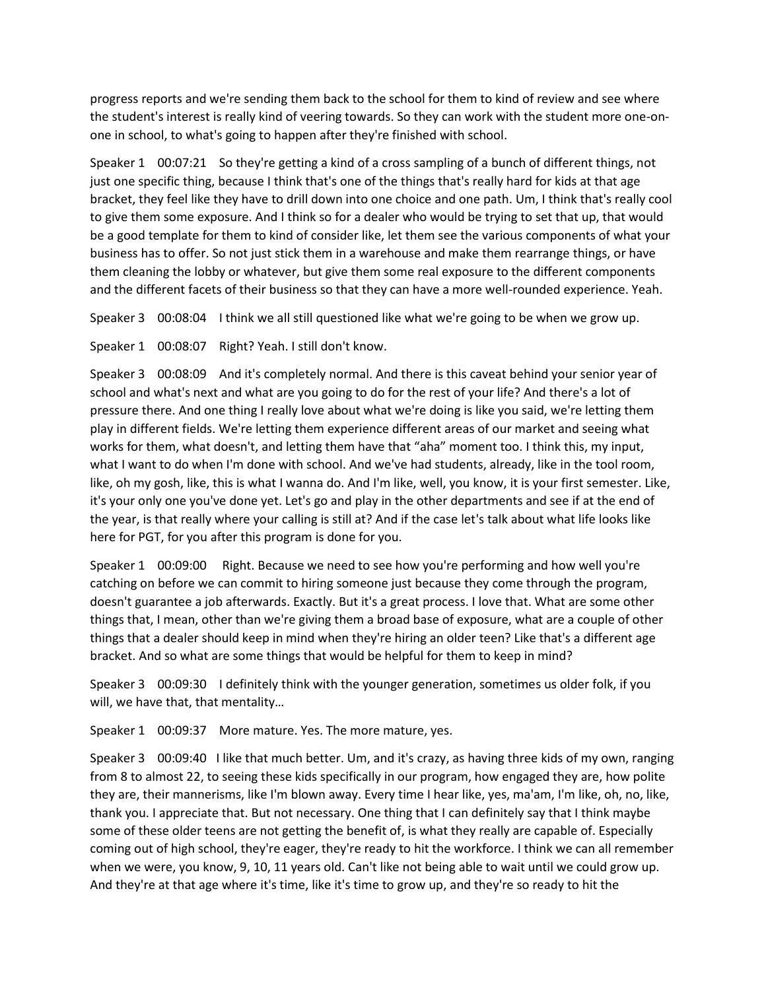progress reports and we're sending them back to the school for them to kind of review and see where the student's interest is really kind of veering towards. So they can work with the student more one-onone in school, to what's going to happen after they're finished with school.

Speaker 1 00:07:21 So they're getting a kind of a cross sampling of a bunch of different things, not just one specific thing, because I think that's one of the things that's really hard for kids at that age bracket, they feel like they have to drill down into one choice and one path. Um, I think that's really cool to give them some exposure. And I think so for a dealer who would be trying to set that up, that would be a good template for them to kind of consider like, let them see the various components of what your business has to offer. So not just stick them in a warehouse and make them rearrange things, or have them cleaning the lobby or whatever, but give them some real exposure to the different components and the different facets of their business so that they can have a more well-rounded experience. Yeah.

Speaker 3 00:08:04 I think we all still questioned like what we're going to be when we grow up.

Speaker 1 00:08:07 Right? Yeah. I still don't know.

Speaker 3 00:08:09 And it's completely normal. And there is this caveat behind your senior year of school and what's next and what are you going to do for the rest of your life? And there's a lot of pressure there. And one thing I really love about what we're doing is like you said, we're letting them play in different fields. We're letting them experience different areas of our market and seeing what works for them, what doesn't, and letting them have that "aha" moment too. I think this, my input, what I want to do when I'm done with school. And we've had students, already, like in the tool room, like, oh my gosh, like, this is what I wanna do. And I'm like, well, you know, it is your first semester. Like, it's your only one you've done yet. Let's go and play in the other departments and see if at the end of the year, is that really where your calling is still at? And if the case let's talk about what life looks like here for PGT, for you after this program is done for you.

Speaker 1 00:09:00 Right. Because we need to see how you're performing and how well you're catching on before we can commit to hiring someone just because they come through the program, doesn't guarantee a job afterwards. Exactly. But it's a great process. I love that. What are some other things that, I mean, other than we're giving them a broad base of exposure, what are a couple of other things that a dealer should keep in mind when they're hiring an older teen? Like that's a different age bracket. And so what are some things that would be helpful for them to keep in mind?

Speaker 3 00:09:30 I definitely think with the younger generation, sometimes us older folk, if you will, we have that, that mentality…

Speaker 1 00:09:37 More mature. Yes. The more mature, yes.

Speaker 3 00:09:40 I like that much better. Um, and it's crazy, as having three kids of my own, ranging from 8 to almost 22, to seeing these kids specifically in our program, how engaged they are, how polite they are, their mannerisms, like I'm blown away. Every time I hear like, yes, ma'am, I'm like, oh, no, like, thank you. I appreciate that. But not necessary. One thing that I can definitely say that I think maybe some of these older teens are not getting the benefit of, is what they really are capable of. Especially coming out of high school, they're eager, they're ready to hit the workforce. I think we can all remember when we were, you know, 9, 10, 11 years old. Can't like not being able to wait until we could grow up. And they're at that age where it's time, like it's time to grow up, and they're so ready to hit the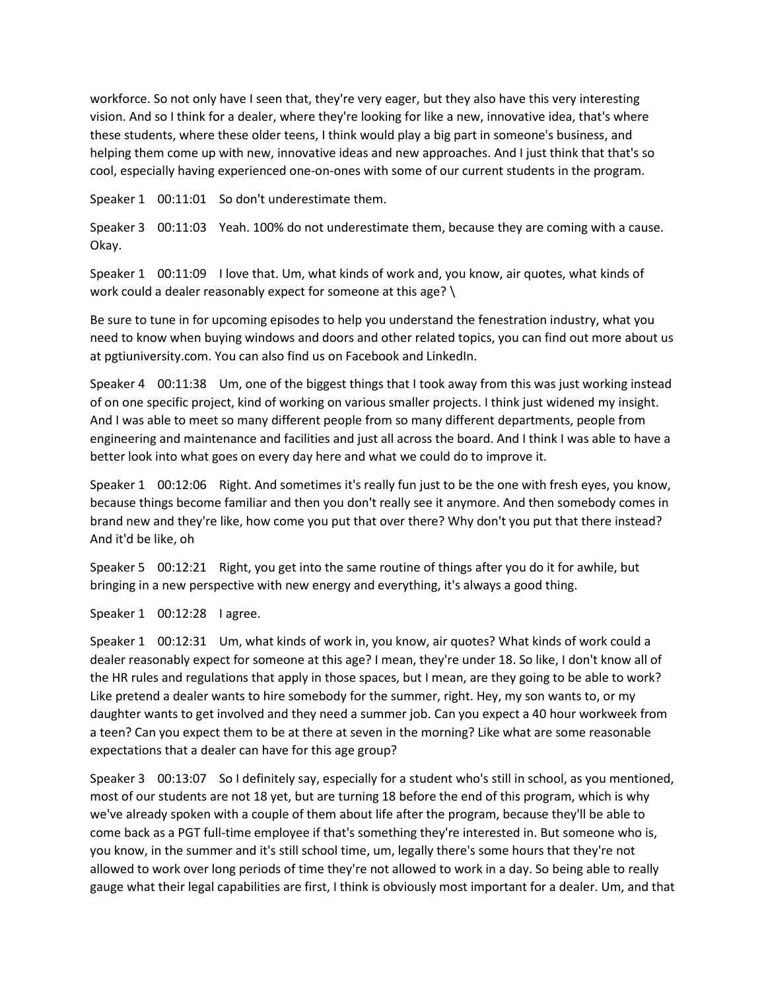workforce. So not only have I seen that, they're very eager, but they also have this very interesting vision. And so I think for a dealer, where they're looking for like a new, innovative idea, that's where these students, where these older teens, I think would play a big part in someone's business, and helping them come up with new, innovative ideas and new approaches. And I just think that that's so cool, especially having experienced one-on-ones with some of our current students in the program.

Speaker 1 00:11:01 So don't underestimate them.

Speaker 3 00:11:03 Yeah. 100% do not underestimate them, because they are coming with a cause. Okay.

Speaker 1 00:11:09 I love that. Um, what kinds of work and, you know, air quotes, what kinds of work could a dealer reasonably expect for someone at this age? \

Be sure to tune in for upcoming episodes to help you understand the fenestration industry, what you need to know when buying windows and doors and other related topics, you can find out more about us at pgtiuniversity.com. You can also find us on Facebook and LinkedIn.

Speaker 4 00:11:38 Um, one of the biggest things that I took away from this was just working instead of on one specific project, kind of working on various smaller projects. I think just widened my insight. And I was able to meet so many different people from so many different departments, people from engineering and maintenance and facilities and just all across the board. And I think I was able to have a better look into what goes on every day here and what we could do to improve it.

Speaker 1 00:12:06 Right. And sometimes it's really fun just to be the one with fresh eyes, you know, because things become familiar and then you don't really see it anymore. And then somebody comes in brand new and they're like, how come you put that over there? Why don't you put that there instead? And it'd be like, oh

Speaker 5 00:12:21 Right, you get into the same routine of things after you do it for awhile, but bringing in a new perspective with new energy and everything, it's always a good thing.

Speaker 1 00:12:28 I agree.

Speaker 1 00:12:31 Um, what kinds of work in, you know, air quotes? What kinds of work could a dealer reasonably expect for someone at this age? I mean, they're under 18. So like, I don't know all of the HR rules and regulations that apply in those spaces, but I mean, are they going to be able to work? Like pretend a dealer wants to hire somebody for the summer, right. Hey, my son wants to, or my daughter wants to get involved and they need a summer job. Can you expect a 40 hour workweek from a teen? Can you expect them to be at there at seven in the morning? Like what are some reasonable expectations that a dealer can have for this age group?

Speaker 3 00:13:07 So I definitely say, especially for a student who's still in school, as you mentioned, most of our students are not 18 yet, but are turning 18 before the end of this program, which is why we've already spoken with a couple of them about life after the program, because they'll be able to come back as a PGT full-time employee if that's something they're interested in. But someone who is, you know, in the summer and it's still school time, um, legally there's some hours that they're not allowed to work over long periods of time they're not allowed to work in a day. So being able to really gauge what their legal capabilities are first, I think is obviously most important for a dealer. Um, and that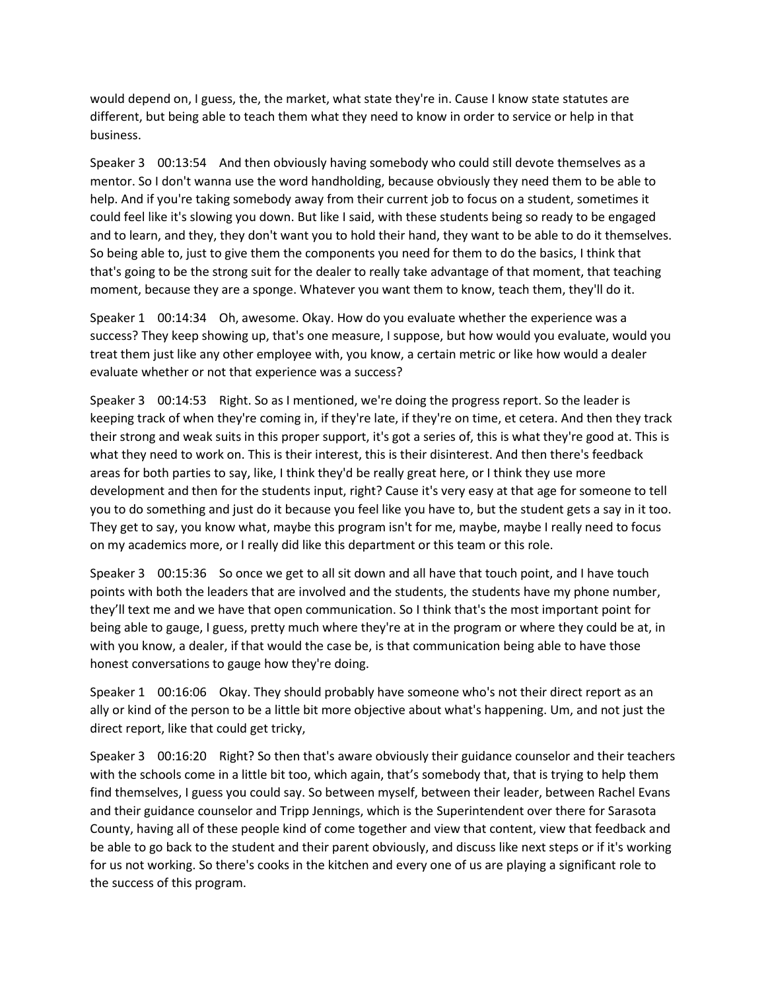would depend on, I guess, the, the market, what state they're in. Cause I know state statutes are different, but being able to teach them what they need to know in order to service or help in that business.

Speaker 3 00:13:54 And then obviously having somebody who could still devote themselves as a mentor. So I don't wanna use the word handholding, because obviously they need them to be able to help. And if you're taking somebody away from their current job to focus on a student, sometimes it could feel like it's slowing you down. But like I said, with these students being so ready to be engaged and to learn, and they, they don't want you to hold their hand, they want to be able to do it themselves. So being able to, just to give them the components you need for them to do the basics, I think that that's going to be the strong suit for the dealer to really take advantage of that moment, that teaching moment, because they are a sponge. Whatever you want them to know, teach them, they'll do it.

Speaker 1 00:14:34 Oh, awesome. Okay. How do you evaluate whether the experience was a success? They keep showing up, that's one measure, I suppose, but how would you evaluate, would you treat them just like any other employee with, you know, a certain metric or like how would a dealer evaluate whether or not that experience was a success?

Speaker 3 00:14:53 Right. So as I mentioned, we're doing the progress report. So the leader is keeping track of when they're coming in, if they're late, if they're on time, et cetera. And then they track their strong and weak suits in this proper support, it's got a series of, this is what they're good at. This is what they need to work on. This is their interest, this is their disinterest. And then there's feedback areas for both parties to say, like, I think they'd be really great here, or I think they use more development and then for the students input, right? Cause it's very easy at that age for someone to tell you to do something and just do it because you feel like you have to, but the student gets a say in it too. They get to say, you know what, maybe this program isn't for me, maybe, maybe I really need to focus on my academics more, or I really did like this department or this team or this role.

Speaker 3 00:15:36 So once we get to all sit down and all have that touch point, and I have touch points with both the leaders that are involved and the students, the students have my phone number, they'll text me and we have that open communication. So I think that's the most important point for being able to gauge, I guess, pretty much where they're at in the program or where they could be at, in with you know, a dealer, if that would the case be, is that communication being able to have those honest conversations to gauge how they're doing.

Speaker 1 00:16:06 Okay. They should probably have someone who's not their direct report as an ally or kind of the person to be a little bit more objective about what's happening. Um, and not just the direct report, like that could get tricky,

Speaker 3 00:16:20 Right? So then that's aware obviously their guidance counselor and their teachers with the schools come in a little bit too, which again, that's somebody that, that is trying to help them find themselves, I guess you could say. So between myself, between their leader, between Rachel Evans and their guidance counselor and Tripp Jennings, which is the Superintendent over there for Sarasota County, having all of these people kind of come together and view that content, view that feedback and be able to go back to the student and their parent obviously, and discuss like next steps or if it's working for us not working. So there's cooks in the kitchen and every one of us are playing a significant role to the success of this program.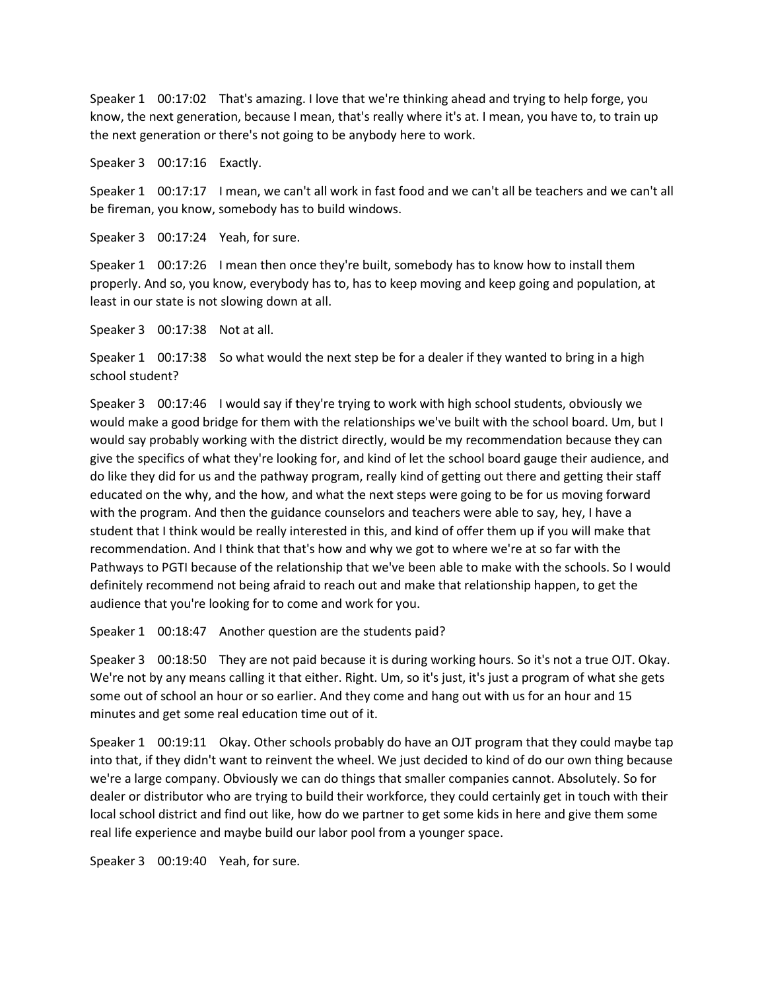Speaker 1 00:17:02 That's amazing. I love that we're thinking ahead and trying to help forge, you know, the next generation, because I mean, that's really where it's at. I mean, you have to, to train up the next generation or there's not going to be anybody here to work.

Speaker 3 00:17:16 Exactly.

Speaker 1 00:17:17 I mean, we can't all work in fast food and we can't all be teachers and we can't all be fireman, you know, somebody has to build windows.

Speaker 3 00:17:24 Yeah, for sure.

Speaker 1 00:17:26 I mean then once they're built, somebody has to know how to install them properly. And so, you know, everybody has to, has to keep moving and keep going and population, at least in our state is not slowing down at all.

Speaker 3 00:17:38 Not at all.

Speaker 1 00:17:38 So what would the next step be for a dealer if they wanted to bring in a high school student?

Speaker 3 00:17:46 I would say if they're trying to work with high school students, obviously we would make a good bridge for them with the relationships we've built with the school board. Um, but I would say probably working with the district directly, would be my recommendation because they can give the specifics of what they're looking for, and kind of let the school board gauge their audience, and do like they did for us and the pathway program, really kind of getting out there and getting their staff educated on the why, and the how, and what the next steps were going to be for us moving forward with the program. And then the guidance counselors and teachers were able to say, hey, I have a student that I think would be really interested in this, and kind of offer them up if you will make that recommendation. And I think that that's how and why we got to where we're at so far with the Pathways to PGTI because of the relationship that we've been able to make with the schools. So I would definitely recommend not being afraid to reach out and make that relationship happen, to get the audience that you're looking for to come and work for you.

Speaker 1 00:18:47 Another question are the students paid?

Speaker 3 00:18:50 They are not paid because it is during working hours. So it's not a true OJT. Okay. We're not by any means calling it that either. Right. Um, so it's just, it's just a program of what she gets some out of school an hour or so earlier. And they come and hang out with us for an hour and 15 minutes and get some real education time out of it.

Speaker 1 00:19:11 Okay. Other schools probably do have an OJT program that they could maybe tap into that, if they didn't want to reinvent the wheel. We just decided to kind of do our own thing because we're a large company. Obviously we can do things that smaller companies cannot. Absolutely. So for dealer or distributor who are trying to build their workforce, they could certainly get in touch with their local school district and find out like, how do we partner to get some kids in here and give them some real life experience and maybe build our labor pool from a younger space.

Speaker 3 00:19:40 Yeah, for sure.